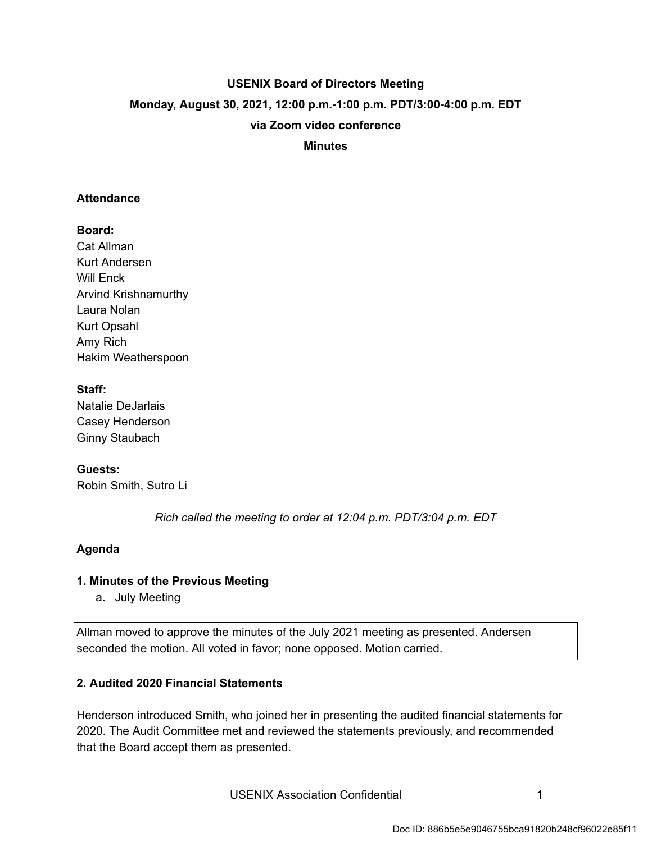# **USENIX Board of Directors Meeting Monday, August 30, 2021, 12:00 p.m.-1:00 p.m. PDT/3:00-4:00 p.m. EDT via Zoom video conference**

 **Minutes** 

#### **Attendance**

#### **Board:**

Cat Allman Kurt Andersen Will Enck Arvind Krishnamurthy Laura Nolan Kurt Opsahl Amy Rich Hakim Weatherspoon

#### **Staff:**

Natalie DeJarlais Casey Henderson Ginny Staubach

#### **Guests:**

Robin Smith, Sutro Li

 *Rich called the meeting to order at 12:04 p.m. PDT/3:04 p.m. EDT* 

#### **Agenda**

## **1. Minutes of the Previous Meeting**

a. July Meeting

Allman moved to approve the minutes of the July 2021 meeting as presented. Andersen seconded the motion. All voted in favor; none opposed. Motion carried.

### **2. Audited 2020 Financial Statements**

Henderson introduced Smith, who joined her in presenting the audited financial statements for 2020. The Audit Committee met and reviewed the statements previously, and recommended that the Board accept them as presented.

USENIX Association Confidential **1** 1